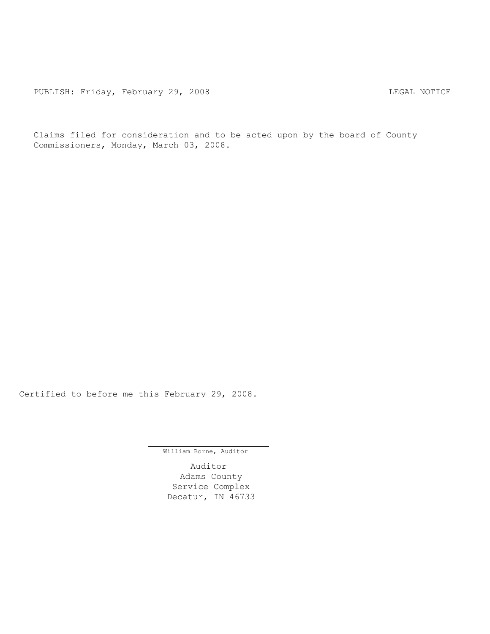Claims filed for consideration and to be acted upon by the board of County Commissioners, Monday, March 03, 2008.

Certified to before me this February 29, 2008.

William Borne, Auditor

Auditor Adams County Service Complex Decatur, IN 46733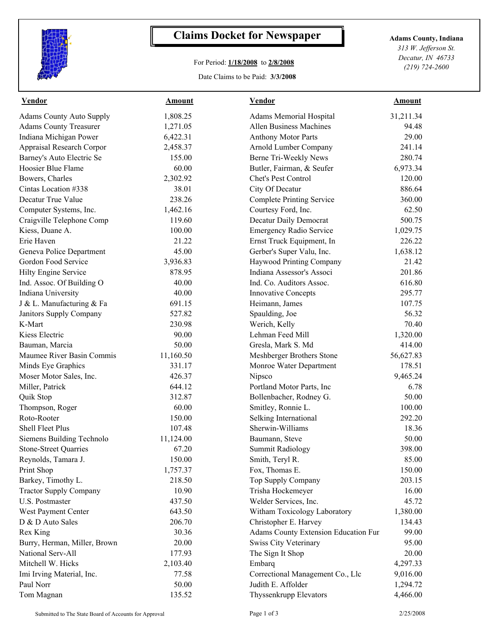

## **Claims Docket for Newspaper Adams County, Indiana**

## For Period: **1/18/2008** to **2/8/2008**

Date Claims to be Paid: **3/3/2008**

*313 W. Jefferson St. Decatur, IN 46733 (219) 724-2600*

| 1,808.25<br>Adams Memorial Hospital<br>31,211.34<br><b>Allen Business Machines</b><br>1,271.05<br>94.48<br>29.00<br>6,422.31<br><b>Anthony Motor Parts</b><br><b>Appraisal Research Corpor</b><br>2,458.37<br>Arnold Lumber Company<br>241.14<br>155.00<br>280.74<br>Berne Tri-Weekly News<br>60.00<br>Butler, Fairman, & Seufer<br>6,973.34<br>Chet's Pest Control<br>2,302.92<br>120.00<br>38.01<br>City Of Decatur<br>886.64<br>238.26<br><b>Complete Printing Service</b><br>360.00<br>1,462.16<br>Courtesy Ford, Inc.<br>62.50<br>119.60<br>Decatur Daily Democrat<br>500.75<br>100.00<br>Emergency Radio Service<br>1,029.75<br>21.22<br>226.22<br>Ernst Truck Equipment, In<br>45.00<br>Gerber's Super Valu, Inc.<br>1,638.12<br>3,936.83<br>Haywood Printing Company<br>21.42<br>Indiana Assessor's Associ<br>878.95<br>201.86<br>40.00<br>Ind. Co. Auditors Assoc.<br>616.80<br>40.00<br><b>Innovative Concepts</b><br>295.77<br>691.15<br>Heimann, James<br>107.75<br>56.32<br>527.82<br>Spaulding, Joe<br>230.98<br>Werich, Kelly<br>70.40<br>90.00<br>Lehman Feed Mill<br>1,320.00<br>50.00<br>414.00<br>Gresla, Mark S. Md<br>56,627.83<br>11,160.50<br>Meshberger Brothers Stone<br>178.51<br>Minds Eye Graphics<br>331.17<br>Monroe Water Department<br>426.37<br>9,465.24<br>Nipsco<br>644.12<br>Portland Motor Parts, Inc<br>6.78<br>Bollenbacher, Rodney G.<br>312.87<br>50.00<br>60.00<br>Smitley, Ronnie L.<br>100.00<br>150.00<br>Selking International<br>292.20<br>Sherwin-Williams<br>18.36<br>107.48<br>50.00<br>Siemens Building Technolo<br>11,124.00<br>Baumann, Steve<br>398.00<br><b>Stone-Street Quarries</b><br>67.20<br><b>Summit Radiology</b><br>Reynolds, Tamara J.<br>Smith, Teryl R.<br>150.00<br>85.00<br>Print Shop<br>1,757.37<br>Fox, Thomas E.<br>150.00<br>218.50<br>Top Supply Company<br>203.15<br>Barkey, Timothy L.<br>10.90<br>Trisha Hockemeyer<br>16.00<br><b>Tractor Supply Company</b><br>437.50<br>Welder Services, Inc.<br>45.72<br>Witham Toxicology Laboratory<br>West Payment Center<br>643.50<br>1,380.00<br>D & D Auto Sales<br>206.70<br>Christopher E. Harvey<br>134.43<br>30.36<br><b>Adams County Extension Education Fur</b><br>99.00<br>Burry, Herman, Miller, Brown<br>20.00<br><b>Swiss City Veterinary</b><br>95.00<br>National Serv-All<br>177.93<br>The Sign It Shop<br>20.00<br>Mitchell W. Hicks<br>2,103.40<br>Embarq<br>4,297.33<br>Correctional Management Co., Llc<br>Imi Irving Material, Inc.<br>77.58<br>9,016.00<br>Judith E. Affolder<br>50.00<br>1,294.72<br>135.52<br>Thyssenkrupp Elevators<br>4,466.00 | <b>Vendor</b>                   | <b>Amount</b> | Vendor | <b>Amount</b> |  |
|----------------------------------------------------------------------------------------------------------------------------------------------------------------------------------------------------------------------------------------------------------------------------------------------------------------------------------------------------------------------------------------------------------------------------------------------------------------------------------------------------------------------------------------------------------------------------------------------------------------------------------------------------------------------------------------------------------------------------------------------------------------------------------------------------------------------------------------------------------------------------------------------------------------------------------------------------------------------------------------------------------------------------------------------------------------------------------------------------------------------------------------------------------------------------------------------------------------------------------------------------------------------------------------------------------------------------------------------------------------------------------------------------------------------------------------------------------------------------------------------------------------------------------------------------------------------------------------------------------------------------------------------------------------------------------------------------------------------------------------------------------------------------------------------------------------------------------------------------------------------------------------------------------------------------------------------------------------------------------------------------------------------------------------------------------------------------------------------------------------------------------------------------------------------------------------------------------------------------------------------------------------------------------------------------------------------------------------------------------------------------------------------------------------------------------------------------------------------------------------------------------------------------------------------------------------------------------------------|---------------------------------|---------------|--------|---------------|--|
|                                                                                                                                                                                                                                                                                                                                                                                                                                                                                                                                                                                                                                                                                                                                                                                                                                                                                                                                                                                                                                                                                                                                                                                                                                                                                                                                                                                                                                                                                                                                                                                                                                                                                                                                                                                                                                                                                                                                                                                                                                                                                                                                                                                                                                                                                                                                                                                                                                                                                                                                                                                              | <b>Adams County Auto Supply</b> |               |        |               |  |
|                                                                                                                                                                                                                                                                                                                                                                                                                                                                                                                                                                                                                                                                                                                                                                                                                                                                                                                                                                                                                                                                                                                                                                                                                                                                                                                                                                                                                                                                                                                                                                                                                                                                                                                                                                                                                                                                                                                                                                                                                                                                                                                                                                                                                                                                                                                                                                                                                                                                                                                                                                                              | <b>Adams County Treasurer</b>   |               |        |               |  |
|                                                                                                                                                                                                                                                                                                                                                                                                                                                                                                                                                                                                                                                                                                                                                                                                                                                                                                                                                                                                                                                                                                                                                                                                                                                                                                                                                                                                                                                                                                                                                                                                                                                                                                                                                                                                                                                                                                                                                                                                                                                                                                                                                                                                                                                                                                                                                                                                                                                                                                                                                                                              | Indiana Michigan Power          |               |        |               |  |
|                                                                                                                                                                                                                                                                                                                                                                                                                                                                                                                                                                                                                                                                                                                                                                                                                                                                                                                                                                                                                                                                                                                                                                                                                                                                                                                                                                                                                                                                                                                                                                                                                                                                                                                                                                                                                                                                                                                                                                                                                                                                                                                                                                                                                                                                                                                                                                                                                                                                                                                                                                                              |                                 |               |        |               |  |
|                                                                                                                                                                                                                                                                                                                                                                                                                                                                                                                                                                                                                                                                                                                                                                                                                                                                                                                                                                                                                                                                                                                                                                                                                                                                                                                                                                                                                                                                                                                                                                                                                                                                                                                                                                                                                                                                                                                                                                                                                                                                                                                                                                                                                                                                                                                                                                                                                                                                                                                                                                                              | Barney's Auto Electric Se       |               |        |               |  |
|                                                                                                                                                                                                                                                                                                                                                                                                                                                                                                                                                                                                                                                                                                                                                                                                                                                                                                                                                                                                                                                                                                                                                                                                                                                                                                                                                                                                                                                                                                                                                                                                                                                                                                                                                                                                                                                                                                                                                                                                                                                                                                                                                                                                                                                                                                                                                                                                                                                                                                                                                                                              | Hoosier Blue Flame              |               |        |               |  |
|                                                                                                                                                                                                                                                                                                                                                                                                                                                                                                                                                                                                                                                                                                                                                                                                                                                                                                                                                                                                                                                                                                                                                                                                                                                                                                                                                                                                                                                                                                                                                                                                                                                                                                                                                                                                                                                                                                                                                                                                                                                                                                                                                                                                                                                                                                                                                                                                                                                                                                                                                                                              | Bowers, Charles                 |               |        |               |  |
|                                                                                                                                                                                                                                                                                                                                                                                                                                                                                                                                                                                                                                                                                                                                                                                                                                                                                                                                                                                                                                                                                                                                                                                                                                                                                                                                                                                                                                                                                                                                                                                                                                                                                                                                                                                                                                                                                                                                                                                                                                                                                                                                                                                                                                                                                                                                                                                                                                                                                                                                                                                              | Cintas Location #338            |               |        |               |  |
|                                                                                                                                                                                                                                                                                                                                                                                                                                                                                                                                                                                                                                                                                                                                                                                                                                                                                                                                                                                                                                                                                                                                                                                                                                                                                                                                                                                                                                                                                                                                                                                                                                                                                                                                                                                                                                                                                                                                                                                                                                                                                                                                                                                                                                                                                                                                                                                                                                                                                                                                                                                              | Decatur True Value              |               |        |               |  |
|                                                                                                                                                                                                                                                                                                                                                                                                                                                                                                                                                                                                                                                                                                                                                                                                                                                                                                                                                                                                                                                                                                                                                                                                                                                                                                                                                                                                                                                                                                                                                                                                                                                                                                                                                                                                                                                                                                                                                                                                                                                                                                                                                                                                                                                                                                                                                                                                                                                                                                                                                                                              | Computer Systems, Inc.          |               |        |               |  |
|                                                                                                                                                                                                                                                                                                                                                                                                                                                                                                                                                                                                                                                                                                                                                                                                                                                                                                                                                                                                                                                                                                                                                                                                                                                                                                                                                                                                                                                                                                                                                                                                                                                                                                                                                                                                                                                                                                                                                                                                                                                                                                                                                                                                                                                                                                                                                                                                                                                                                                                                                                                              | Craigville Telephone Comp       |               |        |               |  |
|                                                                                                                                                                                                                                                                                                                                                                                                                                                                                                                                                                                                                                                                                                                                                                                                                                                                                                                                                                                                                                                                                                                                                                                                                                                                                                                                                                                                                                                                                                                                                                                                                                                                                                                                                                                                                                                                                                                                                                                                                                                                                                                                                                                                                                                                                                                                                                                                                                                                                                                                                                                              | Kiess, Duane A.                 |               |        |               |  |
|                                                                                                                                                                                                                                                                                                                                                                                                                                                                                                                                                                                                                                                                                                                                                                                                                                                                                                                                                                                                                                                                                                                                                                                                                                                                                                                                                                                                                                                                                                                                                                                                                                                                                                                                                                                                                                                                                                                                                                                                                                                                                                                                                                                                                                                                                                                                                                                                                                                                                                                                                                                              | Erie Haven                      |               |        |               |  |
|                                                                                                                                                                                                                                                                                                                                                                                                                                                                                                                                                                                                                                                                                                                                                                                                                                                                                                                                                                                                                                                                                                                                                                                                                                                                                                                                                                                                                                                                                                                                                                                                                                                                                                                                                                                                                                                                                                                                                                                                                                                                                                                                                                                                                                                                                                                                                                                                                                                                                                                                                                                              | Geneva Police Department        |               |        |               |  |
|                                                                                                                                                                                                                                                                                                                                                                                                                                                                                                                                                                                                                                                                                                                                                                                                                                                                                                                                                                                                                                                                                                                                                                                                                                                                                                                                                                                                                                                                                                                                                                                                                                                                                                                                                                                                                                                                                                                                                                                                                                                                                                                                                                                                                                                                                                                                                                                                                                                                                                                                                                                              | Gordon Food Service             |               |        |               |  |
|                                                                                                                                                                                                                                                                                                                                                                                                                                                                                                                                                                                                                                                                                                                                                                                                                                                                                                                                                                                                                                                                                                                                                                                                                                                                                                                                                                                                                                                                                                                                                                                                                                                                                                                                                                                                                                                                                                                                                                                                                                                                                                                                                                                                                                                                                                                                                                                                                                                                                                                                                                                              | Hilty Engine Service            |               |        |               |  |
|                                                                                                                                                                                                                                                                                                                                                                                                                                                                                                                                                                                                                                                                                                                                                                                                                                                                                                                                                                                                                                                                                                                                                                                                                                                                                                                                                                                                                                                                                                                                                                                                                                                                                                                                                                                                                                                                                                                                                                                                                                                                                                                                                                                                                                                                                                                                                                                                                                                                                                                                                                                              | Ind. Assoc. Of Building O       |               |        |               |  |
|                                                                                                                                                                                                                                                                                                                                                                                                                                                                                                                                                                                                                                                                                                                                                                                                                                                                                                                                                                                                                                                                                                                                                                                                                                                                                                                                                                                                                                                                                                                                                                                                                                                                                                                                                                                                                                                                                                                                                                                                                                                                                                                                                                                                                                                                                                                                                                                                                                                                                                                                                                                              | Indiana University              |               |        |               |  |
|                                                                                                                                                                                                                                                                                                                                                                                                                                                                                                                                                                                                                                                                                                                                                                                                                                                                                                                                                                                                                                                                                                                                                                                                                                                                                                                                                                                                                                                                                                                                                                                                                                                                                                                                                                                                                                                                                                                                                                                                                                                                                                                                                                                                                                                                                                                                                                                                                                                                                                                                                                                              | J & L. Manufacturing & Fa       |               |        |               |  |
|                                                                                                                                                                                                                                                                                                                                                                                                                                                                                                                                                                                                                                                                                                                                                                                                                                                                                                                                                                                                                                                                                                                                                                                                                                                                                                                                                                                                                                                                                                                                                                                                                                                                                                                                                                                                                                                                                                                                                                                                                                                                                                                                                                                                                                                                                                                                                                                                                                                                                                                                                                                              | Janitors Supply Company         |               |        |               |  |
|                                                                                                                                                                                                                                                                                                                                                                                                                                                                                                                                                                                                                                                                                                                                                                                                                                                                                                                                                                                                                                                                                                                                                                                                                                                                                                                                                                                                                                                                                                                                                                                                                                                                                                                                                                                                                                                                                                                                                                                                                                                                                                                                                                                                                                                                                                                                                                                                                                                                                                                                                                                              | K-Mart                          |               |        |               |  |
|                                                                                                                                                                                                                                                                                                                                                                                                                                                                                                                                                                                                                                                                                                                                                                                                                                                                                                                                                                                                                                                                                                                                                                                                                                                                                                                                                                                                                                                                                                                                                                                                                                                                                                                                                                                                                                                                                                                                                                                                                                                                                                                                                                                                                                                                                                                                                                                                                                                                                                                                                                                              | Kiess Electric                  |               |        |               |  |
|                                                                                                                                                                                                                                                                                                                                                                                                                                                                                                                                                                                                                                                                                                                                                                                                                                                                                                                                                                                                                                                                                                                                                                                                                                                                                                                                                                                                                                                                                                                                                                                                                                                                                                                                                                                                                                                                                                                                                                                                                                                                                                                                                                                                                                                                                                                                                                                                                                                                                                                                                                                              | Bauman, Marcia                  |               |        |               |  |
|                                                                                                                                                                                                                                                                                                                                                                                                                                                                                                                                                                                                                                                                                                                                                                                                                                                                                                                                                                                                                                                                                                                                                                                                                                                                                                                                                                                                                                                                                                                                                                                                                                                                                                                                                                                                                                                                                                                                                                                                                                                                                                                                                                                                                                                                                                                                                                                                                                                                                                                                                                                              | Maumee River Basin Commis       |               |        |               |  |
|                                                                                                                                                                                                                                                                                                                                                                                                                                                                                                                                                                                                                                                                                                                                                                                                                                                                                                                                                                                                                                                                                                                                                                                                                                                                                                                                                                                                                                                                                                                                                                                                                                                                                                                                                                                                                                                                                                                                                                                                                                                                                                                                                                                                                                                                                                                                                                                                                                                                                                                                                                                              |                                 |               |        |               |  |
|                                                                                                                                                                                                                                                                                                                                                                                                                                                                                                                                                                                                                                                                                                                                                                                                                                                                                                                                                                                                                                                                                                                                                                                                                                                                                                                                                                                                                                                                                                                                                                                                                                                                                                                                                                                                                                                                                                                                                                                                                                                                                                                                                                                                                                                                                                                                                                                                                                                                                                                                                                                              | Moser Motor Sales, Inc.         |               |        |               |  |
|                                                                                                                                                                                                                                                                                                                                                                                                                                                                                                                                                                                                                                                                                                                                                                                                                                                                                                                                                                                                                                                                                                                                                                                                                                                                                                                                                                                                                                                                                                                                                                                                                                                                                                                                                                                                                                                                                                                                                                                                                                                                                                                                                                                                                                                                                                                                                                                                                                                                                                                                                                                              | Miller, Patrick                 |               |        |               |  |
|                                                                                                                                                                                                                                                                                                                                                                                                                                                                                                                                                                                                                                                                                                                                                                                                                                                                                                                                                                                                                                                                                                                                                                                                                                                                                                                                                                                                                                                                                                                                                                                                                                                                                                                                                                                                                                                                                                                                                                                                                                                                                                                                                                                                                                                                                                                                                                                                                                                                                                                                                                                              | Quik Stop                       |               |        |               |  |
|                                                                                                                                                                                                                                                                                                                                                                                                                                                                                                                                                                                                                                                                                                                                                                                                                                                                                                                                                                                                                                                                                                                                                                                                                                                                                                                                                                                                                                                                                                                                                                                                                                                                                                                                                                                                                                                                                                                                                                                                                                                                                                                                                                                                                                                                                                                                                                                                                                                                                                                                                                                              | Thompson, Roger                 |               |        |               |  |
|                                                                                                                                                                                                                                                                                                                                                                                                                                                                                                                                                                                                                                                                                                                                                                                                                                                                                                                                                                                                                                                                                                                                                                                                                                                                                                                                                                                                                                                                                                                                                                                                                                                                                                                                                                                                                                                                                                                                                                                                                                                                                                                                                                                                                                                                                                                                                                                                                                                                                                                                                                                              | Roto-Rooter                     |               |        |               |  |
|                                                                                                                                                                                                                                                                                                                                                                                                                                                                                                                                                                                                                                                                                                                                                                                                                                                                                                                                                                                                                                                                                                                                                                                                                                                                                                                                                                                                                                                                                                                                                                                                                                                                                                                                                                                                                                                                                                                                                                                                                                                                                                                                                                                                                                                                                                                                                                                                                                                                                                                                                                                              | Shell Fleet Plus                |               |        |               |  |
|                                                                                                                                                                                                                                                                                                                                                                                                                                                                                                                                                                                                                                                                                                                                                                                                                                                                                                                                                                                                                                                                                                                                                                                                                                                                                                                                                                                                                                                                                                                                                                                                                                                                                                                                                                                                                                                                                                                                                                                                                                                                                                                                                                                                                                                                                                                                                                                                                                                                                                                                                                                              |                                 |               |        |               |  |
|                                                                                                                                                                                                                                                                                                                                                                                                                                                                                                                                                                                                                                                                                                                                                                                                                                                                                                                                                                                                                                                                                                                                                                                                                                                                                                                                                                                                                                                                                                                                                                                                                                                                                                                                                                                                                                                                                                                                                                                                                                                                                                                                                                                                                                                                                                                                                                                                                                                                                                                                                                                              |                                 |               |        |               |  |
|                                                                                                                                                                                                                                                                                                                                                                                                                                                                                                                                                                                                                                                                                                                                                                                                                                                                                                                                                                                                                                                                                                                                                                                                                                                                                                                                                                                                                                                                                                                                                                                                                                                                                                                                                                                                                                                                                                                                                                                                                                                                                                                                                                                                                                                                                                                                                                                                                                                                                                                                                                                              |                                 |               |        |               |  |
|                                                                                                                                                                                                                                                                                                                                                                                                                                                                                                                                                                                                                                                                                                                                                                                                                                                                                                                                                                                                                                                                                                                                                                                                                                                                                                                                                                                                                                                                                                                                                                                                                                                                                                                                                                                                                                                                                                                                                                                                                                                                                                                                                                                                                                                                                                                                                                                                                                                                                                                                                                                              |                                 |               |        |               |  |
|                                                                                                                                                                                                                                                                                                                                                                                                                                                                                                                                                                                                                                                                                                                                                                                                                                                                                                                                                                                                                                                                                                                                                                                                                                                                                                                                                                                                                                                                                                                                                                                                                                                                                                                                                                                                                                                                                                                                                                                                                                                                                                                                                                                                                                                                                                                                                                                                                                                                                                                                                                                              |                                 |               |        |               |  |
|                                                                                                                                                                                                                                                                                                                                                                                                                                                                                                                                                                                                                                                                                                                                                                                                                                                                                                                                                                                                                                                                                                                                                                                                                                                                                                                                                                                                                                                                                                                                                                                                                                                                                                                                                                                                                                                                                                                                                                                                                                                                                                                                                                                                                                                                                                                                                                                                                                                                                                                                                                                              |                                 |               |        |               |  |
|                                                                                                                                                                                                                                                                                                                                                                                                                                                                                                                                                                                                                                                                                                                                                                                                                                                                                                                                                                                                                                                                                                                                                                                                                                                                                                                                                                                                                                                                                                                                                                                                                                                                                                                                                                                                                                                                                                                                                                                                                                                                                                                                                                                                                                                                                                                                                                                                                                                                                                                                                                                              | U.S. Postmaster                 |               |        |               |  |
|                                                                                                                                                                                                                                                                                                                                                                                                                                                                                                                                                                                                                                                                                                                                                                                                                                                                                                                                                                                                                                                                                                                                                                                                                                                                                                                                                                                                                                                                                                                                                                                                                                                                                                                                                                                                                                                                                                                                                                                                                                                                                                                                                                                                                                                                                                                                                                                                                                                                                                                                                                                              |                                 |               |        |               |  |
|                                                                                                                                                                                                                                                                                                                                                                                                                                                                                                                                                                                                                                                                                                                                                                                                                                                                                                                                                                                                                                                                                                                                                                                                                                                                                                                                                                                                                                                                                                                                                                                                                                                                                                                                                                                                                                                                                                                                                                                                                                                                                                                                                                                                                                                                                                                                                                                                                                                                                                                                                                                              |                                 |               |        |               |  |
|                                                                                                                                                                                                                                                                                                                                                                                                                                                                                                                                                                                                                                                                                                                                                                                                                                                                                                                                                                                                                                                                                                                                                                                                                                                                                                                                                                                                                                                                                                                                                                                                                                                                                                                                                                                                                                                                                                                                                                                                                                                                                                                                                                                                                                                                                                                                                                                                                                                                                                                                                                                              | Rex King                        |               |        |               |  |
|                                                                                                                                                                                                                                                                                                                                                                                                                                                                                                                                                                                                                                                                                                                                                                                                                                                                                                                                                                                                                                                                                                                                                                                                                                                                                                                                                                                                                                                                                                                                                                                                                                                                                                                                                                                                                                                                                                                                                                                                                                                                                                                                                                                                                                                                                                                                                                                                                                                                                                                                                                                              |                                 |               |        |               |  |
|                                                                                                                                                                                                                                                                                                                                                                                                                                                                                                                                                                                                                                                                                                                                                                                                                                                                                                                                                                                                                                                                                                                                                                                                                                                                                                                                                                                                                                                                                                                                                                                                                                                                                                                                                                                                                                                                                                                                                                                                                                                                                                                                                                                                                                                                                                                                                                                                                                                                                                                                                                                              |                                 |               |        |               |  |
|                                                                                                                                                                                                                                                                                                                                                                                                                                                                                                                                                                                                                                                                                                                                                                                                                                                                                                                                                                                                                                                                                                                                                                                                                                                                                                                                                                                                                                                                                                                                                                                                                                                                                                                                                                                                                                                                                                                                                                                                                                                                                                                                                                                                                                                                                                                                                                                                                                                                                                                                                                                              |                                 |               |        |               |  |
|                                                                                                                                                                                                                                                                                                                                                                                                                                                                                                                                                                                                                                                                                                                                                                                                                                                                                                                                                                                                                                                                                                                                                                                                                                                                                                                                                                                                                                                                                                                                                                                                                                                                                                                                                                                                                                                                                                                                                                                                                                                                                                                                                                                                                                                                                                                                                                                                                                                                                                                                                                                              |                                 |               |        |               |  |
|                                                                                                                                                                                                                                                                                                                                                                                                                                                                                                                                                                                                                                                                                                                                                                                                                                                                                                                                                                                                                                                                                                                                                                                                                                                                                                                                                                                                                                                                                                                                                                                                                                                                                                                                                                                                                                                                                                                                                                                                                                                                                                                                                                                                                                                                                                                                                                                                                                                                                                                                                                                              | Paul Norr                       |               |        |               |  |
|                                                                                                                                                                                                                                                                                                                                                                                                                                                                                                                                                                                                                                                                                                                                                                                                                                                                                                                                                                                                                                                                                                                                                                                                                                                                                                                                                                                                                                                                                                                                                                                                                                                                                                                                                                                                                                                                                                                                                                                                                                                                                                                                                                                                                                                                                                                                                                                                                                                                                                                                                                                              | Tom Magnan                      |               |        |               |  |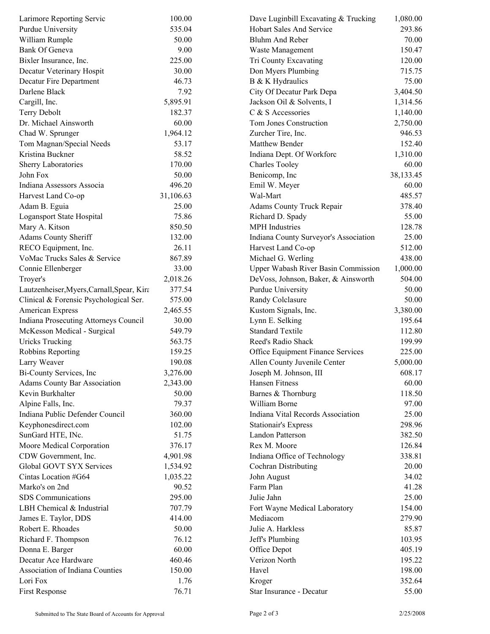| Larimore Reporting Servic                                            | 100.00    | Dave Luginbill Excavating & Trucking  | 1,080.00  |
|----------------------------------------------------------------------|-----------|---------------------------------------|-----------|
| Purdue University                                                    | 535.04    | Hobart Sales And Service              | 293.86    |
| William Rumple                                                       | 50.00     | Bluhm And Reber                       | 70.00     |
| <b>Bank Of Geneva</b>                                                | 9.00      | Waste Management                      | 150.47    |
| Bixler Insurance, Inc.                                               | 225.00    | Tri County Excavating                 | 120.00    |
| Decatur Veterinary Hospit                                            | 30.00     | Don Myers Plumbing                    | 715.75    |
| Decatur Fire Department                                              | 46.73     | B & K Hydraulics                      | 75.00     |
| Darlene Black                                                        | 7.92      | City Of Decatur Park Depa             | 3,404.50  |
| Cargill, Inc.                                                        | 5,895.91  | Jackson Oil & Solvents, I             | 1,314.56  |
| Terry Debolt                                                         | 182.37    | C & S Accessories                     | 1,140.00  |
| Dr. Michael Ainsworth                                                | 60.00     | Tom Jones Construction                | 2,750.00  |
| Chad W. Sprunger                                                     | 1,964.12  | Zurcher Tire, Inc.                    | 946.53    |
| Tom Magnan/Special Needs                                             | 53.17     | Matthew Bender                        | 152.40    |
| Kristina Buckner                                                     | 58.52     | Indiana Dept. Of Workforc             | 1,310.00  |
| Sherry Laboratories                                                  | 170.00    | <b>Charles Tooley</b>                 | 60.00     |
| John Fox                                                             | 50.00     | Benicomp, Inc.                        | 38,133.45 |
| Indiana Assessors Associa                                            | 496.20    | Emil W. Meyer                         | 60.00     |
| Harvest Land Co-op                                                   | 31,106.63 | Wal-Mart                              | 485.57    |
| Adam B. Eguia                                                        | 25.00     | Adams County Truck Repair             | 378.40    |
| Logansport State Hospital                                            | 75.86     | Richard D. Spady                      | 55.00     |
| Mary A. Kitson                                                       | 850.50    | <b>MPH</b> Industries                 | 128.78    |
| <b>Adams County Sheriff</b>                                          | 132.00    | Indiana County Surveyor's Association | 25.00     |
| RECO Equipment, Inc.                                                 | 26.11     | Harvest Land Co-op                    | 512.00    |
| VoMac Trucks Sales & Service                                         | 867.89    | Michael G. Werling                    | 438.00    |
| Connie Ellenberger                                                   | 33.00     | Upper Wabash River Basin Commission   | 1,000.00  |
| Troyer's                                                             | 2,018.26  | DeVoss, Johnson, Baker, & Ainsworth   | 504.00    |
| Lautzenheiser, Myers, Carnall, Spear, Kira                           | 377.54    | Purdue University                     | 50.00     |
| Clinical & Forensic Psychological Ser.                               | 575.00    | Randy Colclasure                      | 50.00     |
| American Express                                                     | 2,465.55  | Kustom Signals, Inc.                  | 3,380.00  |
|                                                                      | 30.00     | Lynn E. Selking                       | 195.64    |
| Indiana Prosecuting Attorneys Council<br>McKesson Medical - Surgical |           | <b>Standard Textile</b>               |           |
|                                                                      | 549.79    | Reed's Radio Shack                    | 112.80    |
| <b>Uricks Trucking</b>                                               | 563.75    |                                       | 199.99    |
| Robbins Reporting                                                    | 159.25    | Office Equipment Finance Services     | 225.00    |
| Larry Weaver                                                         | 190.08    | Allen County Juvenile Center          | 5,000.00  |
| Bi-County Services, Inc.                                             | 3,276.00  | Joseph M. Johnson, III                | 608.17    |
| <b>Adams County Bar Association</b>                                  | 2,343.00  | Hansen Fitness                        | 60.00     |
| Kevin Burkhalter                                                     | 50.00     | Barnes & Thornburg                    | 118.50    |
| Alpine Falls, Inc.                                                   | 79.37     | William Borne                         | 97.00     |
| Indiana Public Defender Council                                      | 360.00    | Indiana Vital Records Association     | 25.00     |
| Keyphonesdirect.com                                                  | 102.00    | <b>Stationair's Express</b>           | 298.96    |
| SunGard HTE, INc.                                                    | 51.75     | Landon Patterson                      | 382.50    |
| Moore Medical Corporation                                            | 376.17    | Rex M. Moore                          | 126.84    |
| CDW Government, Inc.                                                 | 4,901.98  | Indiana Office of Technology          | 338.81    |
| Global GOVT SYX Services                                             | 1,534.92  | <b>Cochran Distributing</b>           | 20.00     |
| Cintas Location #G64                                                 | 1,035.22  | John August                           | 34.02     |
| Marko's on 2nd                                                       | 90.52     | Farm Plan                             | 41.28     |
| SDS Communications                                                   | 295.00    | Julie Jahn                            | 25.00     |
| LBH Chemical & Industrial                                            | 707.79    | Fort Wayne Medical Laboratory         | 154.00    |
| James E. Taylor, DDS                                                 | 414.00    | Mediacom                              | 279.90    |
| Robert E. Rhoades                                                    | 50.00     | Julie A. Harkless                     | 85.87     |
| Richard F. Thompson                                                  | 76.12     | Jeff's Plumbing                       | 103.95    |
| Donna E. Barger                                                      | 60.00     | Office Depot                          | 405.19    |
| Decatur Ace Hardware                                                 | 460.46    | Verizon North                         | 195.22    |
| Association of Indiana Counties                                      | 150.00    | Havel                                 | 198.00    |
| Lori Fox                                                             | 1.76      | Kroger                                | 352.64    |
| First Response                                                       | 76.71     | Star Insurance - Decatur              | 55.00     |